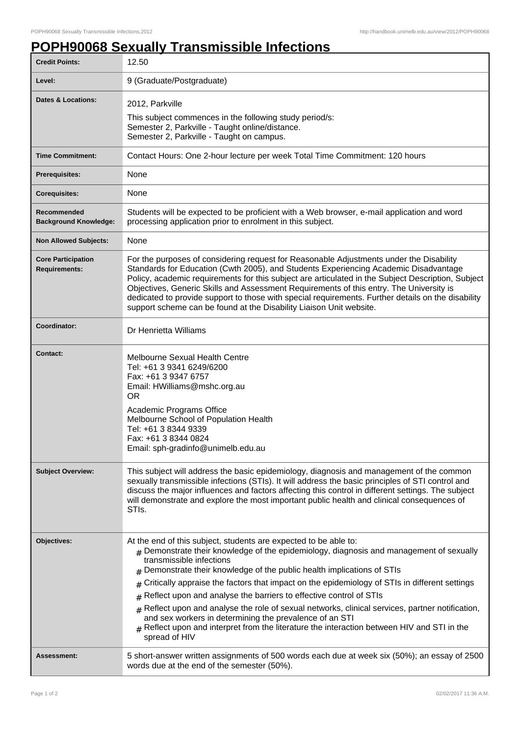## **POPH90068 Sexually Transmissible Infections**

| <b>Credit Points:</b>                             | 12.50                                                                                                                                                                                                                                                                                                                                                                                                                                                                                                                                                                                                                                                                                                                                       |
|---------------------------------------------------|---------------------------------------------------------------------------------------------------------------------------------------------------------------------------------------------------------------------------------------------------------------------------------------------------------------------------------------------------------------------------------------------------------------------------------------------------------------------------------------------------------------------------------------------------------------------------------------------------------------------------------------------------------------------------------------------------------------------------------------------|
| Level:                                            | 9 (Graduate/Postgraduate)                                                                                                                                                                                                                                                                                                                                                                                                                                                                                                                                                                                                                                                                                                                   |
| Dates & Locations:                                | 2012, Parkville<br>This subject commences in the following study period/s:<br>Semester 2, Parkville - Taught online/distance.<br>Semester 2, Parkville - Taught on campus.                                                                                                                                                                                                                                                                                                                                                                                                                                                                                                                                                                  |
| <b>Time Commitment:</b>                           | Contact Hours: One 2-hour lecture per week Total Time Commitment: 120 hours                                                                                                                                                                                                                                                                                                                                                                                                                                                                                                                                                                                                                                                                 |
| Prerequisites:                                    | None                                                                                                                                                                                                                                                                                                                                                                                                                                                                                                                                                                                                                                                                                                                                        |
| <b>Corequisites:</b>                              | None                                                                                                                                                                                                                                                                                                                                                                                                                                                                                                                                                                                                                                                                                                                                        |
| Recommended<br><b>Background Knowledge:</b>       | Students will be expected to be proficient with a Web browser, e-mail application and word<br>processing application prior to enrolment in this subject.                                                                                                                                                                                                                                                                                                                                                                                                                                                                                                                                                                                    |
| <b>Non Allowed Subjects:</b>                      | None                                                                                                                                                                                                                                                                                                                                                                                                                                                                                                                                                                                                                                                                                                                                        |
| <b>Core Participation</b><br><b>Requirements:</b> | For the purposes of considering request for Reasonable Adjustments under the Disability<br>Standards for Education (Cwth 2005), and Students Experiencing Academic Disadvantage<br>Policy, academic requirements for this subject are articulated in the Subject Description, Subject<br>Objectives, Generic Skills and Assessment Requirements of this entry. The University is<br>dedicated to provide support to those with special requirements. Further details on the disability<br>support scheme can be found at the Disability Liaison Unit website.                                                                                                                                                                               |
| Coordinator:                                      | Dr Henrietta Williams                                                                                                                                                                                                                                                                                                                                                                                                                                                                                                                                                                                                                                                                                                                       |
| <b>Contact:</b>                                   | Melbourne Sexual Health Centre<br>Tel: +61 3 9341 6249/6200<br>Fax: +61 3 9347 6757<br>Email: HWilliams@mshc.org.au<br>OR.<br>Academic Programs Office<br>Melbourne School of Population Health<br>Tel: +61 3 8344 9339<br>Fax: +61 3 8344 0824<br>Email: sph-gradinfo@unimelb.edu.au                                                                                                                                                                                                                                                                                                                                                                                                                                                       |
| <b>Subject Overview:</b>                          | This subject will address the basic epidemiology, diagnosis and management of the common<br>sexually transmissible infections (STIs). It will address the basic principles of STI control and<br>discuss the major influences and factors affecting this control in different settings. The subject<br>will demonstrate and explore the most important public health and clinical consequences of<br>STI <sub>s</sub> .                                                                                                                                                                                                                                                                                                                     |
| Objectives:                                       | At the end of this subject, students are expected to be able to:<br>$#$ Demonstrate their knowledge of the epidemiology, diagnosis and management of sexually<br>transmissible infections<br>Demonstrate their knowledge of the public health implications of STIs<br>#<br>Critically appraise the factors that impact on the epidemiology of STIs in different settings<br>#<br>Reflect upon and analyse the barriers to effective control of STIs<br>$\#$<br>Reflect upon and analyse the role of sexual networks, clinical services, partner notification,<br>#<br>and sex workers in determining the prevalence of an STI<br>Reflect upon and interpret from the literature the interaction between HIV and STI in the<br>spread of HIV |
| Assessment:                                       | 5 short-answer written assignments of 500 words each due at week six (50%); an essay of 2500<br>words due at the end of the semester (50%).                                                                                                                                                                                                                                                                                                                                                                                                                                                                                                                                                                                                 |